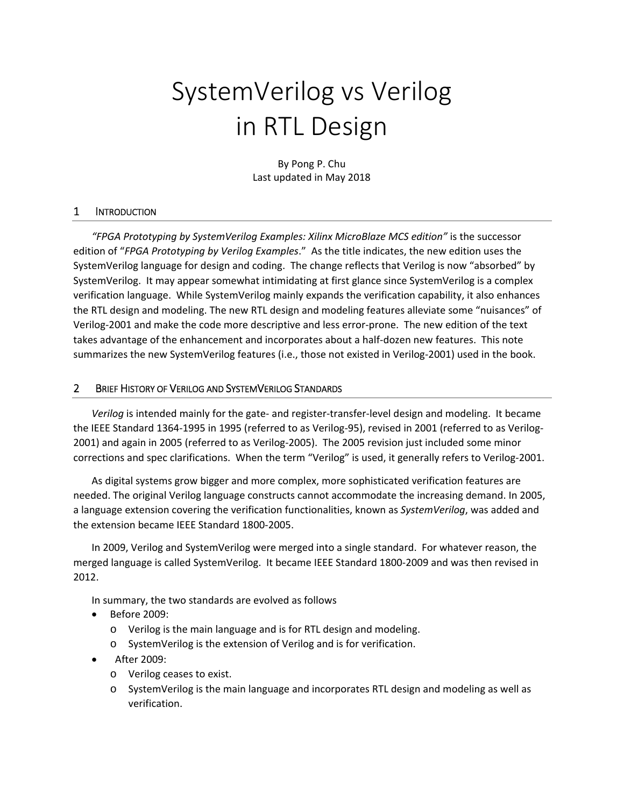# SystemVerilog vs Verilog in RTL Design

By Pong P. Chu Last updated in May 2018

### 1 INTRODUCTION

*"FPGA Prototyping by SystemVerilog Examples: Xilinx MicroBlaze MCS edition"* is the successor edition of "*FPGA Prototyping by Verilog Examples*." As the title indicates, the new edition uses the SystemVerilog language for design and coding. The change reflects that Verilog is now "absorbed" by SystemVerilog. It may appear somewhat intimidating at first glance since SystemVerilog is a complex verification language. While SystemVerilog mainly expands the verification capability, it also enhances the RTL design and modeling. The new RTL design and modeling features alleviate some "nuisances" of Verilog‐2001 and make the code more descriptive and less error‐prone. The new edition of the text takes advantage of the enhancement and incorporates about a half‐dozen new features. This note summarizes the new SystemVerilog features (i.e., those not existed in Verilog-2001) used in the book.

## 2 BRIEF HISTORY OF VERILOG AND SYSTEMVERILOG STANDARDS

*Verilog* is intended mainly for the gate‐ and register‐transfer‐level design and modeling. It became the IEEE Standard 1364-1995 in 1995 (referred to as Verilog-95), revised in 2001 (referred to as Verilog-2001) and again in 2005 (referred to as Verilog‐2005). The 2005 revision just included some minor corrections and spec clarifications. When the term "Verilog" is used, it generally refers to Verilog‐2001.

As digital systems grow bigger and more complex, more sophisticated verification features are needed. The original Verilog language constructs cannot accommodate the increasing demand. In 2005, a language extension covering the verification functionalities, known as *SystemVerilog*, was added and the extension became IEEE Standard 1800‐2005.

In 2009, Verilog and SystemVerilog were merged into a single standard. For whatever reason, the merged language is called SystemVerilog. It became IEEE Standard 1800‐2009 and was then revised in 2012.

In summary, the two standards are evolved as follows

- Before 2009:
	- o Verilog is the main language and is for RTL design and modeling.
	- o SystemVerilog is the extension of Verilog and is for verification.
- After 2009:
	- o Verilog ceases to exist.
	- o SystemVerilog is the main language and incorporates RTL design and modeling as well as verification.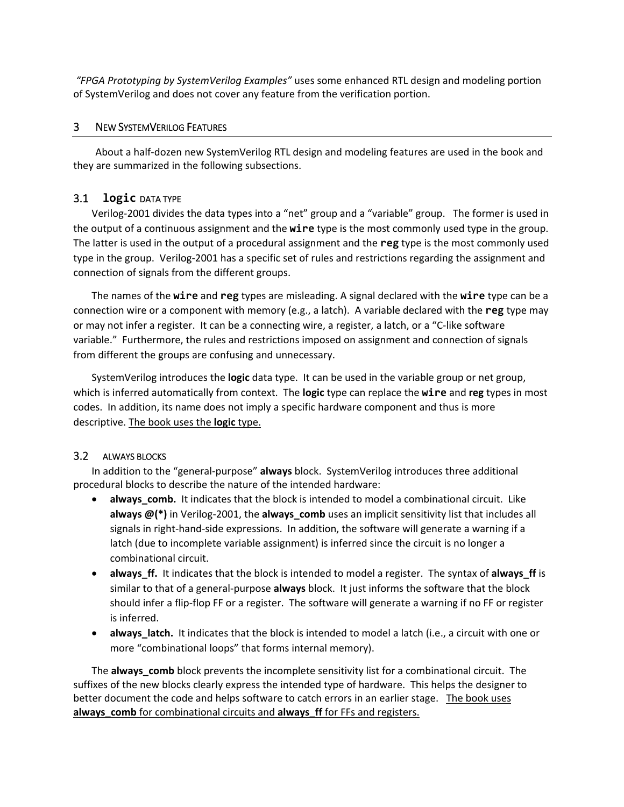*"FPGA Prototyping by SystemVerilog Examples"* uses some enhanced RTL design and modeling portion of SystemVerilog and does not cover any feature from the verification portion.

## 3 NEW SYSTEMVERILOG FEATURES

About a half‐dozen new SystemVerilog RTL design and modeling features are used in the book and they are summarized in the following subsections.

# 3.1 **logic** DATA TYPE

Verilog‐2001 divides the data types into a "net" group and a "variable" group. The former is used in the output of a continuous assignment and the **wire** type is the most commonly used type in the group. The latter is used in the output of a procedural assignment and the **reg** type is the most commonly used type in the group. Verilog‐2001 has a specific set of rules and restrictions regarding the assignment and connection of signals from the different groups.

The names of the **wire** and **reg** types are misleading. A signal declared with the **wire** type can be a connection wire or a component with memory (e.g., a latch). A variable declared with the **reg** type may or may not infer a register. It can be a connecting wire, a register, a latch, or a "C‐like software variable." Furthermore, the rules and restrictions imposed on assignment and connection of signals from different the groups are confusing and unnecessary.

SystemVerilog introduces the **logic** data type. It can be used in the variable group or net group, which is inferred automatically from context. The **logic** type can replace the **wire** and **reg** types in most codes. In addition, its name does not imply a specific hardware component and thus is more descriptive. The book uses the **logic** type.

# 3.2 ALWAYS BLOCKS

In addition to the "general‐purpose" **always** block. SystemVerilog introduces three additional procedural blocks to describe the nature of the intended hardware:

- **always comb.** It indicates that the block is intended to model a combinational circuit. Like **always @(\*)** in Verilog-2001, the **always\_comb** uses an implicit sensitivity list that includes all signals in right‐hand‐side expressions. In addition, the software will generate a warning if a latch (due to incomplete variable assignment) is inferred since the circuit is no longer a combinational circuit.
- **always\_ff.**  It indicates that the block is intended to model a register. The syntax of **always\_ff** is similar to that of a general‐purpose **always** block. It just informs the software that the block should infer a flip‐flop FF or a register. The software will generate a warning if no FF or register is inferred.
- **always\_latch.** It indicates that the block is intended to model a latch (i.e., a circuit with one or more "combinational loops" that forms internal memory).

The **always\_comb** block prevents the incomplete sensitivity list for a combinational circuit. The suffixes of the new blocks clearly express the intended type of hardware. This helps the designer to better document the code and helps software to catch errors in an earlier stage. The book uses **always\_comb** for combinational circuits and **always\_ff** for FFs and registers.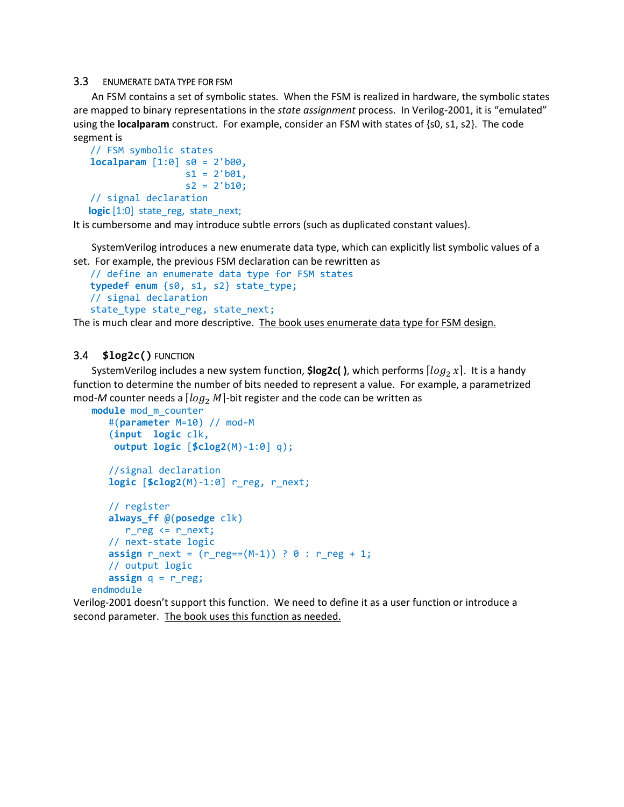#### 3.3 ENUMERATE DATA TYPE FOR FSM

An FSM contains a set of symbolic states. When the FSM is realized in hardware, the symbolic states are mapped to binary representations in the *state assignment* process. In Verilog-2001, it is "emulated" using the **localparam** construct. For example, consider an FSM with states of {s0, s1, s2}. The code segment is

```
   // FSM symbolic states  
   localparam [1:0] s0 = 2'b00,
                     s1 = 2'b01,
                     s2 = 2'b10;
   // signal declaration
      logic [1:0]  state_reg,  state_next;
```
It is cumbersome and may introduce subtle errors (such as duplicated constant values).

SystemVerilog introduces a new enumerate data type, which can explicitly list symbolic values of a set. For example, the previous FSM declaration can be rewritten as

```
   // define an enumerate data type for FSM states  
   typedef enum {s0, s1, s2} state_type;      
   // signal declaration
   state_type state_reg, state_next;
```
The is much clear and more descriptive. The book uses enumerate data type for FSM design.

### 3.4 **\$log2c()** FUNCTION

SystemVerilog includes a new system function, **\$log2c()**, which performs  $\lfloor log_2 x \rfloor$ . It is a handy function to determine the number of bits needed to represent a value. For example, a parametrized mod-*M* counter needs a  $\lceil log_2 M \rceil$ -bit register and the code can be written as

```
module mod_m_counter
      #(parameter M=10) // mod‐M
      (input  logic clk,
        output logic [$clog2(M)‐1:0] q);
      //signal declaration
      logic [$clog2(M)‐1:0] r_reg, r_next;
      // register
      always_ff @(posedge clk)
            r_reg <= r_next;
      // next‐state logic
   assign r_{next} = (r_{reg}=(M-1)) ? 0 : r_{reg} + 1;   // output logic
   assign q = r reg;
endmodule
```
Verilog‐2001 doesn't support this function. We need to define it as a user function or introduce a second parameter. The book uses this function as needed.